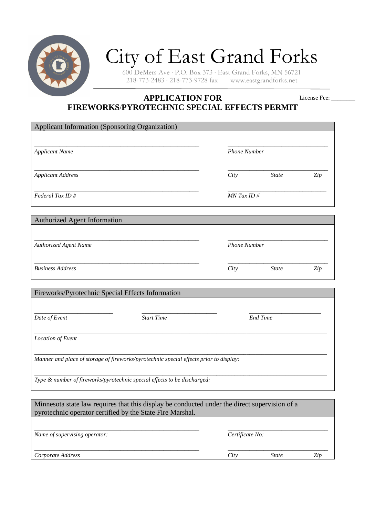

# City of East Grand Forks

600 DeMers Ave · P.O. Box  $373$  · East Grand Forks, MN 56721<br>218-773-2483 · 218-773-9728 fax www.eastgrandforks.net  $218-773-2483 \cdot 218-773-9728$  fax

#### **APPLICATION FOR FIREWORKS**/**PYROTECHNIC SPECIAL EFFECTS PERMIT**  License Fee:

| Applicant Information (Sponsoring Organization)                                               |                   |            |                     |     |  |  |
|-----------------------------------------------------------------------------------------------|-------------------|------------|---------------------|-----|--|--|
|                                                                                               |                   |            |                     |     |  |  |
| <b>Applicant Name</b>                                                                         |                   |            | <b>Phone Number</b> |     |  |  |
| <b>Applicant Address</b>                                                                      |                   | City       | <b>State</b>        | Zip |  |  |
| Federal Tax ID#                                                                               |                   | MN Tax ID# |                     |     |  |  |
| <b>Authorized Agent Information</b>                                                           |                   |            |                     |     |  |  |
| <b>Authorized Agent Name</b>                                                                  |                   |            | <b>Phone Number</b> |     |  |  |
| <b>Business Address</b>                                                                       |                   | City       | <b>State</b>        | Zip |  |  |
| Fireworks/Pyrotechnic Special Effects Information                                             |                   |            |                     |     |  |  |
| Date of Event                                                                                 | <b>Start Time</b> |            | <b>End Time</b>     |     |  |  |
| Location of Event                                                                             |                   |            |                     |     |  |  |
| Manner and place of storage of fireworks/pyrotechnic special effects prior to display:        |                   |            |                     |     |  |  |
| Type & number of fireworks/pyrotechnic special effects to be discharged:                      |                   |            |                     |     |  |  |
|                                                                                               |                   |            |                     |     |  |  |
| Minnesota state law requires that this display be conducted under the direct supervision of a |                   |            |                     |     |  |  |

| Minnesota state law requires that this display be conducted under the direct supervision of a<br>pyrotechnic operator certified by the State Fire Marshal. |                 |              |     |
|------------------------------------------------------------------------------------------------------------------------------------------------------------|-----------------|--------------|-----|
| Name of supervising operator:                                                                                                                              | Certificate No: |              |     |
| Corporate Address                                                                                                                                          | City            | <i>State</i> | Zip |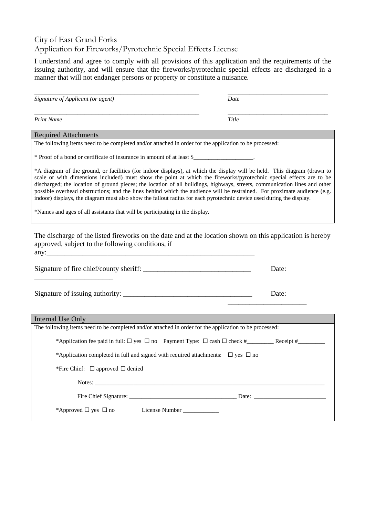## City of East Grand Forks Application for Fireworks/Pyrotechnic Special Effects License

I understand and agree to comply with all provisions of this application and the requirements of the issuing authority, and will ensure that the fireworks/pyrotechnic special effects are discharged in a manner that will not endanger persons or property or constitute a nuisance.

| Signature of Applicant (or agent)                                                                                                                                                                                                                                                                                                                                                                                                                                                                                                                                                                                                                                                                                 | Date  |  |  |  |
|-------------------------------------------------------------------------------------------------------------------------------------------------------------------------------------------------------------------------------------------------------------------------------------------------------------------------------------------------------------------------------------------------------------------------------------------------------------------------------------------------------------------------------------------------------------------------------------------------------------------------------------------------------------------------------------------------------------------|-------|--|--|--|
| <b>Print Name</b>                                                                                                                                                                                                                                                                                                                                                                                                                                                                                                                                                                                                                                                                                                 | Title |  |  |  |
| <b>Required Attachments</b>                                                                                                                                                                                                                                                                                                                                                                                                                                                                                                                                                                                                                                                                                       |       |  |  |  |
| The following items need to be completed and/or attached in order for the application to be processed:                                                                                                                                                                                                                                                                                                                                                                                                                                                                                                                                                                                                            |       |  |  |  |
| * Proof of a bond or certificate of insurance in amount of at least \$                                                                                                                                                                                                                                                                                                                                                                                                                                                                                                                                                                                                                                            |       |  |  |  |
| *A diagram of the ground, or facilities (for indoor displays), at which the display will be held. This diagram (drawn to<br>scale or with dimensions included) must show the point at which the fireworks/pyrotechnic special effects are to be<br>discharged; the location of ground pieces; the location of all buildings, highways, streets, communication lines and other<br>possible overhead obstructions; and the lines behind which the audience will be restrained. For proximate audience (e.g.<br>indoor) displays, the diagram must also show the fallout radius for each pyrotechnic device used during the display.<br>*Names and ages of all assistants that will be participating in the display. |       |  |  |  |
| The discharge of the listed fireworks on the date and at the location shown on this application is hereby<br>approved, subject to the following conditions, if                                                                                                                                                                                                                                                                                                                                                                                                                                                                                                                                                    |       |  |  |  |
|                                                                                                                                                                                                                                                                                                                                                                                                                                                                                                                                                                                                                                                                                                                   | Date: |  |  |  |
|                                                                                                                                                                                                                                                                                                                                                                                                                                                                                                                                                                                                                                                                                                                   | Date: |  |  |  |
| Internal Use Only                                                                                                                                                                                                                                                                                                                                                                                                                                                                                                                                                                                                                                                                                                 |       |  |  |  |
| The following items need to be completed and/or attached in order for the application to be processed:                                                                                                                                                                                                                                                                                                                                                                                                                                                                                                                                                                                                            |       |  |  |  |
|                                                                                                                                                                                                                                                                                                                                                                                                                                                                                                                                                                                                                                                                                                                   |       |  |  |  |
| *Application completed in full and signed with required attachments: $\Box$ yes $\Box$ no                                                                                                                                                                                                                                                                                                                                                                                                                                                                                                                                                                                                                         |       |  |  |  |
| *Fire Chief: $\Box$ approved $\Box$ denied                                                                                                                                                                                                                                                                                                                                                                                                                                                                                                                                                                                                                                                                        |       |  |  |  |
|                                                                                                                                                                                                                                                                                                                                                                                                                                                                                                                                                                                                                                                                                                                   |       |  |  |  |
|                                                                                                                                                                                                                                                                                                                                                                                                                                                                                                                                                                                                                                                                                                                   |       |  |  |  |
| *Approved $\Box$ yes $\Box$ no<br>License Number ____________                                                                                                                                                                                                                                                                                                                                                                                                                                                                                                                                                                                                                                                     |       |  |  |  |